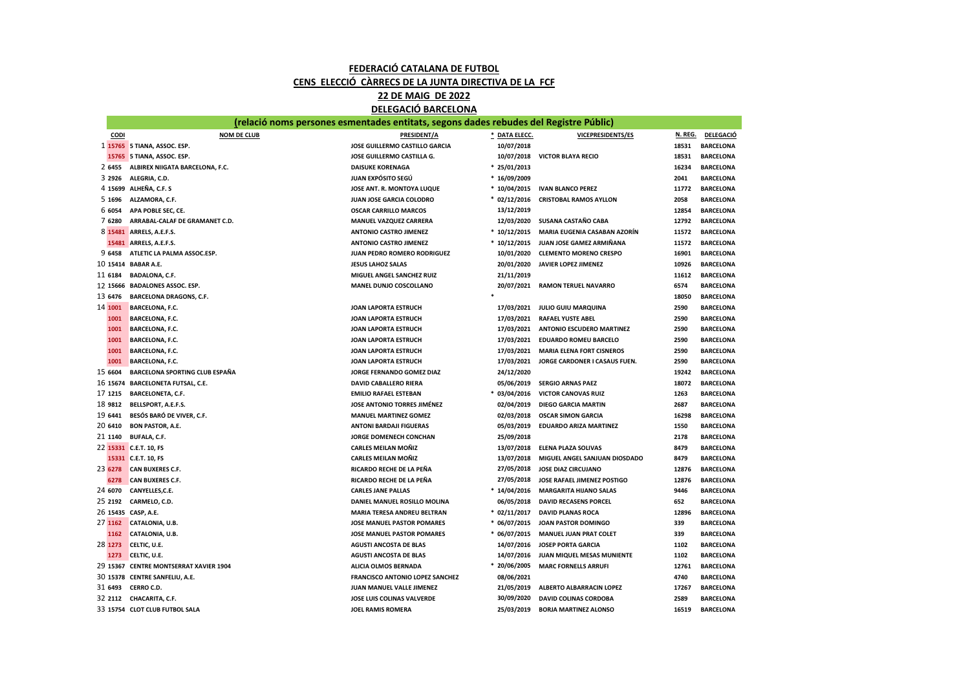## FEDERACIÓ CATALANA DE FUTBOL CENS ELECCIÓ CÀRRECS DE LA JUNTA DIRECTIVA DE LA FCF

DELEGACIÓ BARCELONA 22 DE MAIG DE 2022

|         | (relació noms persones esmentades entitats, segons dades rebudes del Registre Públic) |                                     |                |                                          |         |                  |  |
|---------|---------------------------------------------------------------------------------------|-------------------------------------|----------------|------------------------------------------|---------|------------------|--|
| CODI    | <b>NOM DE CLUB</b>                                                                    | PRESIDENT/A                         | * DATA ELECC.  | <b>VICEPRESIDENTS/ES</b>                 | N. REG. | <b>DELEGACIÓ</b> |  |
|         | 1 15765 5 TIANA, ASSOC. ESP.                                                          | JOSE GUILLERMO CASTILLO GARCIA      | 10/07/2018     |                                          | 18531   | <b>BARCELONA</b> |  |
|         | 15765 5 TIANA, ASSOC. ESP.                                                            | JOSE GUILLERMO CASTILLA G.          |                | 10/07/2018 VICTOR BLAYA RECIO            | 18531   | <b>BARCELONA</b> |  |
|         | 2 6455 ALBIREX NIIGATA BARCELONA, F.C.                                                | <b>DAISUKE KORENAGA</b>             | $* 25/01/2013$ |                                          | 16234   | <b>BARCELONA</b> |  |
| 3 2926  | ALEGRIA, C.D.                                                                         | <b>JUAN EXPÓSITO SEGÚ</b>           | $*16/09/2009$  |                                          | 2041    | <b>BARCELONA</b> |  |
|         | 4 15699 ALHEÑA, C.F. S                                                                | JOSE ANT. R. MONTOYA LUQUE          |                | * 10/04/2015 IVAN BLANCO PEREZ           | 11772   | <b>BARCELONA</b> |  |
| 5 1696  | ALZAMORA, C.F.                                                                        | <b>JUAN JOSE GARCIA COLODRO</b>     | $*$ 02/12/2016 | <b>CRISTOBAL RAMOS AYLLON</b>            | 2058    | <b>BARCELONA</b> |  |
| 6 6054  | APA POBLE SEC, CE.                                                                    | <b>OSCAR CARRILLO MARCOS</b>        | 13/12/2019     |                                          | 12854   | <b>BARCELONA</b> |  |
| 7 6280  | ARRABAL-CALAF DE GRAMANET C.D.                                                        | MANUEL VAZQUEZ CARRERA              | 12/03/2020     | SUSANA CASTAÑO CABA                      | 12792   | <b>BARCELONA</b> |  |
|         | 8 15481 ARRELS, A.E.F.S.                                                              | <b>ANTONIO CASTRO JIMENEZ</b>       | $*10/12/2015$  | MARIA EUGENIA CASABAN AZORÍN             | 11572   | <b>BARCELONA</b> |  |
|         | 15481 ARRELS, A.E.F.S.                                                                | <b>ANTONIO CASTRO JIMENEZ</b>       |                | * 10/12/2015 JUAN JOSE GAMEZ ARMIÑANA    | 11572   | <b>BARCELONA</b> |  |
|         | 9 6458 ATLETIC LA PALMA ASSOC.ESP.                                                    | JUAN PEDRO ROMERO RODRIGUEZ         | 10/01/2020     | <b>CLEMENTO MORENO CRESPO</b>            | 16901   | <b>BARCELONA</b> |  |
|         | 10 15414 BABAR A.E.                                                                   | <b>JESUS LAHOZ SALAS</b>            | 20/01/2020     | JAVIER LOPEZ JIMENEZ                     | 10926   | <b>BARCELONA</b> |  |
| 11 6184 | <b>BADALONA, C.F.</b>                                                                 | MIGUEL ANGEL SANCHEZ RUIZ           | 21/11/2019     |                                          | 11612   | <b>BARCELONA</b> |  |
|         | 12 15666 BADALONES ASSOC. ESP.                                                        | <b>MANEL DUNJO COSCOLLANO</b>       |                | 20/07/2021 RAMON TERUEL NAVARRO          | 6574    | <b>BARCELONA</b> |  |
| 13 6476 | <b>BARCELONA DRAGONS, C.F.</b>                                                        |                                     |                |                                          | 18050   | <b>BARCELONA</b> |  |
| 14 1001 | <b>BARCELONA, F.C.</b>                                                                | <b>JOAN LAPORTA ESTRUCH</b>         | 17/03/2021     | <b>JULIO GUIU MARQUINA</b>               | 2590    | <b>BARCELONA</b> |  |
| 1001    | <b>BARCELONA, F.C.</b>                                                                | <b>JOAN LAPORTA ESTRUCH</b>         | 17/03/2021     | <b>RAFAEL YUSTE ABEL</b>                 | 2590    | <b>BARCELONA</b> |  |
| 1001    | <b>BARCELONA, F.C.</b>                                                                | <b>JOAN LAPORTA ESTRUCH</b>         | 17/03/2021     | <b>ANTONIO ESCUDERO MARTINEZ</b>         | 2590    | <b>BARCELONA</b> |  |
| 1001    | <b>BARCELONA, F.C.</b>                                                                | <b>JOAN LAPORTA ESTRUCH</b>         | 17/03/2021     | <b>EDUARDO ROMEU BARCELO</b>             | 2590    | <b>BARCELONA</b> |  |
| 1001    | <b>BARCELONA, F.C.</b>                                                                | <b>JOAN LAPORTA ESTRUCH</b>         | 17/03/2021     | <b>MARIA ELENA FORT CISNEROS</b>         | 2590    | <b>BARCELONA</b> |  |
| 1001    | <b>BARCELONA, F.C.</b>                                                                | <b>JOAN LAPORTA ESTRUCH</b>         |                | 17/03/2021 JORGE CARDONER I CASAUS FUEN. | 2590    | <b>BARCELONA</b> |  |
| 15 6604 | BARCELONA SPORTING CLUB ESPAÑA                                                        | JORGE FERNANDO GOMEZ DIAZ           | 24/12/2020     |                                          | 19242   | <b>BARCELONA</b> |  |
|         | 16 15674 BARCELONETA FUTSAL, C.E.                                                     | <b>DAVID CABALLERO RIERA</b>        | 05/06/2019     | <b>SERGIO ARNAS PAEZ</b>                 | 18072   | <b>BARCELONA</b> |  |
| 17 1215 | <b>BARCELONETA, C.F.</b>                                                              | <b>EMILIO RAFAEL ESTEBAN</b>        | $* 03/04/2016$ | <b>VICTOR CANOVAS RUIZ</b>               | 1263    | <b>BARCELONA</b> |  |
| 18 9812 | BELLSPORT, A.E.F.S.                                                                   | JOSE ANTONIO TORRES JIMÉNEZ         | 02/04/2019     | <b>DIEGO GARCIA MARTIN</b>               | 2687    | <b>BARCELONA</b> |  |
| 19 6441 | <b>BESÓS BARÓ DE VIVER, C.F.</b>                                                      | <b>MANUEL MARTINEZ GOMEZ</b>        | 02/03/2018     | <b>OSCAR SIMON GARCIA</b>                | 16298   | <b>BARCELONA</b> |  |
| 20 6410 | <b>BON PASTOR, A.E.</b>                                                               | <b>ANTONI BARDAJI FIGUERAS</b>      | 05/03/2019     | <b>EDUARDO ARIZA MARTINEZ</b>            | 1550    | <b>BARCELONA</b> |  |
| 21 1140 | <b>BUFALA, C.F.</b>                                                                   | JORGE DOMENECH CONCHAN              | 25/09/2018     |                                          | 2178    | <b>BARCELONA</b> |  |
|         | 22 15331 C.E.T. 10, FS                                                                | <b>CARLES MEILAN MOÑIZ</b>          | 13/07/2018     | <b>ELENA PLAZA SOLIVAS</b>               | 8479    | <b>BARCELONA</b> |  |
|         | 15331 C.E.T. 10, FS                                                                   | <b>CARLES MEILAN MOÑIZ</b>          | 13/07/2018     | <b>MIGUEL ANGEL SANJUAN DIOSDADO</b>     | 8479    | <b>BARCELONA</b> |  |
| 23 6278 | <b>CAN BUXERES C.F.</b>                                                               | RICARDO RECHE DE LA PEÑA            |                | 27/05/2018 JOSE DIAZ CIRCUJANO           | 12876   | <b>BARCELONA</b> |  |
| 6278    | <b>CAN BUXERES C.F.</b>                                                               | RICARDO RECHE DE LA PEÑA            | 27/05/2018     | <b>JOSE RAFAEL JIMENEZ POSTIGO</b>       | 12876   | <b>BARCELONA</b> |  |
|         | 24 6070 CANYELLES, C.E.                                                               | <b>CARLES JANE PALLAS</b>           | $*14/04/2016$  | <b>MARGARITA HIJANO SALAS</b>            | 9446    | <b>BARCELONA</b> |  |
|         | 25 2192 CARMELO, C.D.                                                                 | <b>DANIEL MANUEL ROSILLO MOLINA</b> | 06/05/2018     | <b>DAVID RECASENS PORCEL</b>             | 652     | <b>BARCELONA</b> |  |
|         | 26 15435 CASP, A.E.                                                                   | MARIA TERESA ANDREU BELTRAN         | $* 02/11/2017$ | <b>DAVID PLANAS ROCA</b>                 | 12896   | <b>BARCELONA</b> |  |
| 27 1162 | <b>CATALONIA, U.B.</b>                                                                | <b>JOSE MANUEL PASTOR POMARES</b>   | $*06/07/2015$  | <b>JOAN PASTOR DOMINGO</b>               | 339     | <b>BARCELONA</b> |  |
| 1162    | <b>CATALONIA, U.B.</b>                                                                | <b>JOSE MANUEL PASTOR POMARES</b>   |                | * 06/07/2015 MANUEL JUAN PRAT COLET      | 339     | <b>BARCELONA</b> |  |
| 28 1273 | CELTIC, U.E.                                                                          | <b>AGUSTI ANCOSTA DE BLAS</b>       | 14/07/2016     | <b>JOSEP PORTA GARCIA</b>                | 1102    | <b>BARCELONA</b> |  |
| 1273    | CELTIC, U.E.                                                                          | <b>AGUSTI ANCOSTA DE BLAS</b>       | 14/07/2016     | JUAN MIQUEL MESAS MUNIENTE               | 1102    | <b>BARCELONA</b> |  |
|         | 29 15367 CENTRE MONTSERRAT XAVIER 1904                                                | ALICIA OLMOS BERNADA                | $* 20/06/2005$ | <b>MARC FORNELLS ARRUFI</b>              | 12761   | <b>BARCELONA</b> |  |
|         | 30 15378 CENTRE SANFELIU, A.E.                                                        | FRANCISCO ANTONIO LOPEZ SANCHEZ     | 08/06/2021     |                                          | 4740    | <b>BARCELONA</b> |  |
|         | 31 6493 CERRO C.D.                                                                    | JUAN MANUEL VALLE JIMENEZ           | 21/05/2019     | <b>ALBERTO ALBARRACIN LOPEZ</b>          | 17267   | <b>BARCELONA</b> |  |
|         | 32 2112 CHACARITA, C.F.                                                               | JOSE LUIS COLINAS VALVERDE          | 30/09/2020     | <b>DAVID COLINAS CORDOBA</b>             | 2589    | <b>BARCELONA</b> |  |
|         | 33 15754 CLOT CLUB FUTBOL SALA                                                        | <b>JOEL RAMIS ROMERA</b>            | 25/03/2019     | <b>BORJA MARTINEZ ALONSO</b>             | 16519   | <b>BARCELONA</b> |  |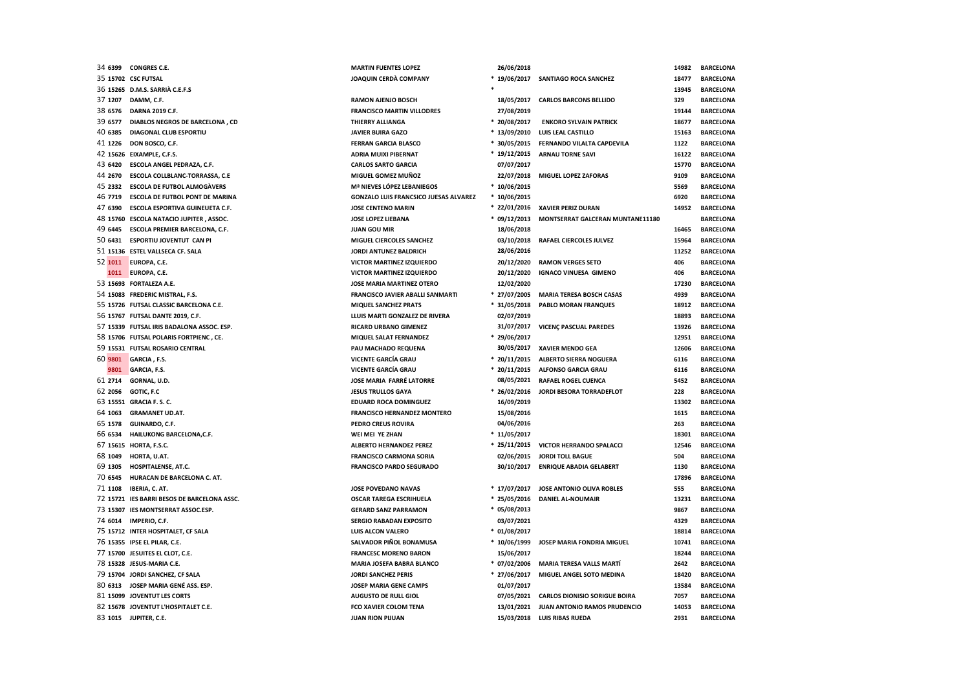|         | 35 15702 CSC FUTSAL                         | JOAQUIN CERDÀ COMPANY                        |                | * 19/06/2017 SANTIAGO ROCA SANCHEZ    | 18477 | <b>BARCELONA</b> |
|---------|---------------------------------------------|----------------------------------------------|----------------|---------------------------------------|-------|------------------|
|         | 36 15265 D.M.S. SARRIÀ C.E.F.S              |                                              |                |                                       | 13945 | <b>BARCELONA</b> |
|         | 37 1207 DAMM, C.F.                          | <b>RAMON AJENJO BOSCH</b>                    | 18/05/2017     | <b>CARLOS BARCONS BELLIDO</b>         | 329   | <b>BARCELONA</b> |
| 38 6576 | DARNA 2019 C.F.                             | <b>FRANCISCO MARTIN VILLODRES</b>            | 27/08/2019     |                                       | 19144 | <b>BARCELONA</b> |
| 39 6577 | DIABLOS NEGROS DE BARCELONA, CD             | THIERRY ALLIANGA                             | * 20/08/2017   | <b>ENKORO SYLVAIN PATRICK</b>         | 18677 | <b>BARCELONA</b> |
| 40 6385 | <b>DIAGONAL CLUB ESPORTIU</b>               | <b>JAVIER BUIRA GAZO</b>                     | $*13/09/2010$  | <b>LUIS LEAL CASTILLO</b>             | 15163 | <b>BARCELONA</b> |
|         | 41 1226 DON BOSCO, C.F.                     | <b>FERRAN GARCIA BLASCO</b>                  | $*30/05/2015$  | FERNANDO VILALTA CAPDEVILA            | 1122  | <b>BARCELONA</b> |
|         | 42 15626 EIXAMPLE, C.F.S.                   | <b>ADRIA MUIXI PIBERNAT</b>                  | * 19/12/2015   | <b>ARNAU TORNE SAVI</b>               | 16122 | <b>BARCELONA</b> |
|         | 43 6420 ESCOLA ANGEL PEDRAZA, C.F.          | <b>CARLOS SARTO GARCIA</b>                   | 07/07/2017     |                                       | 15770 | <b>BARCELONA</b> |
| 44 2670 | ESCOLA COLLBLANC-TORRASSA, C.E              | MIGUEL GOMEZ MUÑOZ                           | 22/07/2018     | MIGUEL LOPEZ ZAFORAS                  | 9109  | <b>BARCELONA</b> |
|         | 45 2332 ESCOLA DE FUTBOL ALMOGÀVERS         | Mª NIEVES LÓPEZ LEBANIEGOS                   | $*10/06/2015$  |                                       | 5569  | <b>BARCELONA</b> |
|         | 46 7719 ESCOLA DE FUTBOL PONT DE MARINA     | <b>GONZALO LUIS FRANCSICO JUESAS ALVAREZ</b> | $*10/06/2015$  |                                       | 6920  | <b>BARCELONA</b> |
|         | 47 6390 ESCOLA ESPORTIVA GUINEUETA C.F.     | <b>JOSE CENTENO MARIN</b>                    |                | * 22/01/2016 XAVIER PERIZ DURAN       | 14952 | <b>BARCELONA</b> |
|         | 48 15760 ESCOLA NATACIO JUPITER, ASSOC.     | <b>JOSE LOPEZ LIEBANA</b>                    | $*$ 09/12/2013 | MONTSERRAT GALCERAN MUNTANE11180      |       | <b>BARCELONA</b> |
|         | 49 6445 ESCOLA PREMIER BARCELONA, C.F.      | <b>JUAN GOU MIR</b>                          | 18/06/2018     |                                       | 16465 | <b>BARCELONA</b> |
|         | 50 6431 ESPORTIU JOVENTUT CAN PI            | MIGUEL CIERCOLES SANCHEZ                     | 03/10/2018     | <b>RAFAEL CIERCOLES JULVEZ</b>        | 15964 | <b>BARCELONA</b> |
|         | 51 15136 ESTEL VALLSECA CF. SALA            | <b>JORDI ANTUNEZ BALDRICH</b>                | 28/06/2016     |                                       | 11252 | <b>BARCELONA</b> |
| 52 1011 | EUROPA, C.E.                                | <b>VICTOR MARTINEZ IZQUIERDO</b>             | 20/12/2020     | <b>RAMON VERGES SETO</b>              | 406   | <b>BARCELONA</b> |
| 1011    | EUROPA, C.E.                                | <b>VICTOR MARTINEZ IZQUIERDO</b>             | 20/12/2020     | <b>IGNACO VINUESA GIMENO</b>          | 406   | <b>BARCELONA</b> |
|         | 53 15693 FORTALEZA A.E.                     | <b>JOSE MARIA MARTINEZ OTERO</b>             | 12/02/2020     |                                       | 17230 | <b>BARCELONA</b> |
|         | 54 15083 FREDERIC MISTRAL. F.S.             | <b>FRANCISCO JAVIER ABALLI SANMARTI</b>      | * 27/07/2005   | <b>MARIA TERESA BOSCH CASAS</b>       | 4939  | <b>BARCELONA</b> |
|         | 55 15726 FUTSAL CLASSIC BARCELONA C.E.      | <b>MIQUEL SANCHEZ PRATS</b>                  | $* 31/05/2018$ | <b>PABLO MORAN FRANQUES</b>           | 18912 | <b>BARCELONA</b> |
|         | 56 15767 FUTSAL DANTE 2019, C.F.            | LLUIS MARTI GONZALEZ DE RIVERA               | 02/07/2019     |                                       | 18893 | <b>BARCELONA</b> |
|         | 57 15339 FUTSAL IRIS BADALONA ASSOC. ESP.   | <b>RICARD URBANO GIMENEZ</b>                 |                | 31/07/2017 VICENÇ PASCUAL PAREDES     | 13926 | <b>BARCELONA</b> |
|         | 58 15706 FUTSAL POLARIS FORTPIENC, CE.      | MIQUEL SALAT FERNANDEZ                       | * 29/06/2017   |                                       | 12951 | <b>BARCELONA</b> |
|         | 59 15531 FUTSAL ROSARIO CENTRAL             | PAU MACHADO REQUENA                          |                | 30/05/2017 XAVIER MENDO GEA           | 12606 | <b>BARCELONA</b> |
| 60 9801 | GARCIA, F.S.                                | <b>VICENTE GARCÍA GRAU</b>                   | * 20/11/2015   | <b>ALBERTO SIERRA NOGUERA</b>         | 6116  | <b>BARCELONA</b> |
| 9801    | GARCIA, F.S.                                | <b>VICENTE GARCÍA GRAU</b>                   | $* 20/11/2015$ | <b>ALFONSO GARCIA GRAU</b>            | 6116  | <b>BARCELONA</b> |
|         | 61 2714 GORNAL, U.D.                        | <b>JOSE MARIA FARRÉ LATORRE</b>              | 08/05/2021     | <b>RAFAEL ROGEL CUENCA</b>            | 5452  | <b>BARCELONA</b> |
|         | 62 2056 GOTIC, F.C                          | <b>JESUS TRULLOS GAYA</b>                    | $* 26/02/2016$ | JORDI BESORA TORRADEFLOT              | 228   | <b>BARCELONA</b> |
|         | 63 15551 GRACIA F. S. C.                    | <b>EDUARD ROCA DOMINGUEZ</b>                 | 16/09/2019     |                                       | 13302 | <b>BARCELONA</b> |
| 64 1063 | <b>GRAMANET UD.AT.</b>                      | <b>FRANCISCO HERNANDEZ MONTERO</b>           | 15/08/2016     |                                       | 1615  | <b>BARCELONA</b> |
|         | 65 1578 GUINARDO, C.F.                      | PEDRO CREUS ROVIRA                           | 04/06/2016     |                                       | 263   | <b>BARCELONA</b> |
| 66 6534 | HAILUKONG BARCELONA, C.F.                   | WEI MEI YE ZHAN                              | $*11/05/2017$  |                                       | 18301 | <b>BARCELONA</b> |
|         | 67 15615 HORTA, F.S.C.                      | <b>ALBERTO HERNANDEZ PEREZ</b>               |                | * 25/11/2015 VICTOR HERRANDO SPALACCI | 12546 | <b>BARCELONA</b> |
|         | 68 1049 HORTA, U.AT.                        | <b>FRANCISCO CARMONA SORIA</b>               |                | 02/06/2015 JORDI TOLL BAGUE           | 504   | <b>BARCELONA</b> |
|         | 69 1305 HOSPITALENSE, AT.C.                 | <b>FRANCISCO PARDO SEGURADO</b>              |                | 30/10/2017 ENRIQUE ABADIA GELABERT    | 1130  | <b>BARCELONA</b> |
|         | 70 6545 HURACAN DE BARCELONA C. AT.         |                                              |                |                                       | 17896 | <b>BARCELONA</b> |
|         | 71 1108 IBERIA, C. AT.                      | <b>JOSE POVEDANO NAVAS</b>                   | * 17/07/2017   | JOSE ANTONIO OLIVA ROBLES             | 555   | <b>BARCELONA</b> |
|         | 72 15721 IES BARRI BESOS DE BARCELONA ASSC. | <b>OSCAR TAREGA ESCRIHUELA</b>               | $* 25/05/2016$ | <b>DANIEL AL-NOUMAIR</b>              | 13231 | <b>BARCELONA</b> |
|         | 73 15307 IES MONTSERRAT ASSOC.ESP.          | <b>GERARD SANZ PARRAMON</b>                  | $* 05/08/2013$ |                                       | 9867  | <b>BARCELONA</b> |
|         | 74 6014 IMPERIO, C.F.                       | SERGIO RABADAN EXPOSITO                      | 03/07/2021     |                                       | 4329  | <b>BARCELONA</b> |
|         | 75 15712 INTER HOSPITALET, CF SALA          | <b>LUIS ALCON VALERO</b>                     | $* 01/08/2017$ |                                       | 18814 | <b>BARCELONA</b> |
|         | 76 15355 IPSE EL PILAR, C.E.                | SALVADOR PIÑOL BONAMUSA                      | * 10/06/1999   | JOSEP MARIA FONDRIA MIGUEL            | 10741 | <b>BARCELONA</b> |
|         | 77 15700 JESUITES EL CLOT, C.E.             | <b>FRANCESC MORENO BARON</b>                 | 15/06/2017     |                                       | 18244 | <b>BARCELONA</b> |
|         | 78 15328 JESUS-MARIA C.E.                   | MARIA JOSEFA BABRA BLANCO                    | $* 07/02/2006$ | MARIA TERESA VALLS MARTÍ              | 2642  | <b>BARCELONA</b> |
|         | 79 15704 JORDI SANCHEZ, CF SALA             | <b>JORDI SANCHEZ PERIS</b>                   | * 27/06/2017   | MIGUEL ANGEL SOTO MEDINA              | 18420 | <b>BARCELONA</b> |
|         | 80 6313 JOSEP MARIA GENÉ ASS. ESP.          | <b>JOSEP MARIA GENE CAMPS</b>                | 01/07/2017     |                                       | 13584 | <b>BARCELONA</b> |
|         | 81 15099 JOVENTUT LES CORTS                 | <b>AUGUSTO DE RULL GIOL</b>                  | 07/05/2021     | <b>CARLOS DIONISIO SORIGUE BOIRA</b>  | 7057  | <b>BARCELONA</b> |
|         | 82 15678 JOVENTUT L'HOSPITALET C.E.         | <b>FCO XAVIER COLOM TENA</b>                 | 13/01/2021     | <b>JUAN ANTONIO RAMOS PRUDENCIO</b>   | 14053 | <b>BARCELONA</b> |
|         | 83 1015 JUPITER, C.E.                       | <b>JUAN RION PIJUAN</b>                      |                | 15/03/2018 LUIS RIBAS RUEDA           | 2931  | <b>BARCELONA</b> |
|         |                                             |                                              |                |                                       |       |                  |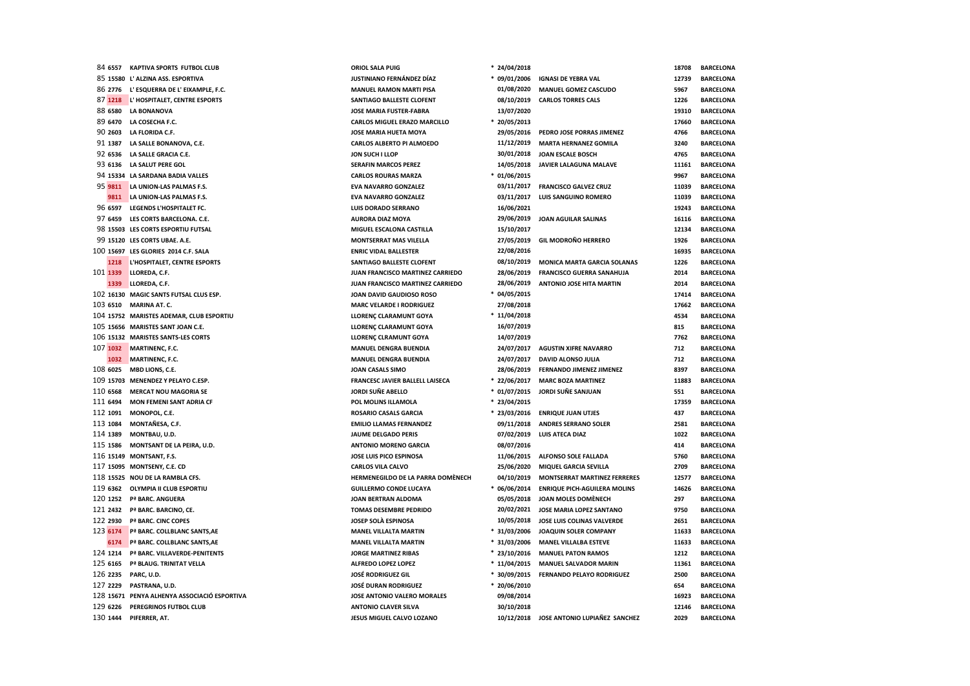| 84 6557  | <b>KAPTIVA SPORTS FUTBOL CLUB</b>            | ORIOL SALA PUIG                     | * 24/04/2018   |                                     | 18708 | <b>BARCELONA</b> |
|----------|----------------------------------------------|-------------------------------------|----------------|-------------------------------------|-------|------------------|
|          | 85 15580 L' ALZINA ASS. ESPORTIVA            | JUSTINIANO FERNÁNDEZ DÍAZ           | $*$ 09/01/2006 | <b>IGNASI DE YEBRA VAL</b>          | 12739 | <b>BARCELONA</b> |
| 86 2776  | L' ESQUERRA DE L' EIXAMPLE, F.C.             | <b>MANUEL RAMON MARTI PISA</b>      | 01/08/2020     | <b>MANUEL GOMEZ CASCUDO</b>         | 5967  | <b>BARCELONA</b> |
| 87 1218  | L' HOSPITALET, CENTRE ESPORTS                | SANTIAGO BALLESTE CLOFENT           | 08/10/2019     | <b>CARLOS TORRES CALS</b>           | 1226  | <b>BARCELONA</b> |
| 88 6580  | <b>LA BONANOVA</b>                           | JOSE MARIA FUSTER-FABRA             | 13/07/2020     |                                     | 19310 | <b>BARCELONA</b> |
| 89 6470  | LA COSECHA F.C.                              | <b>CARLOS MIGUEL ERAZO MARCILLO</b> | * 20/05/2013   |                                     | 17660 | <b>BARCELONA</b> |
| 90 2603  | LA FLORIDA C.F.                              | <b>JOSE MARIA HUETA MOYA</b>        | 29/05/2016     | PEDRO JOSE PORRAS JIMENEZ           | 4766  | <b>BARCELONA</b> |
| 91 1387  | LA SALLE BONANOVA, C.E.                      | CARLOS ALBERTO PI ALMOEDO           | 11/12/2019     | <b>MARTA HERNANEZ GOMILA</b>        | 3240  | <b>BARCELONA</b> |
| 92 6536  | LA SALLE GRACIA C.E.                         | JON SUCH I LLOP                     | 30/01/2018     | JOAN ESCALE BOSCH                   | 4765  | <b>BARCELONA</b> |
| 93 6136  | LA SALUT PERE GOL                            | <b>SERAFIN MARCOS PEREZ</b>         | 14/05/2018     | JAVIER LALAGUNA MALAVE              | 11161 | <b>BARCELONA</b> |
|          | 94 15334 LA SARDANA BADIA VALLES             | <b>CARLOS ROURAS MARZA</b>          | $* 01/06/2015$ |                                     | 9967  | <b>BARCELONA</b> |
| 95 9811  | LA UNION-LAS PALMAS F.S.                     | <b>EVA NAVARRO GONZALEZ</b>         | 03/11/2017     | <b>FRANCISCO GALVEZ CRUZ</b>        | 11039 | <b>BARCELONA</b> |
| 9811     | LA UNION-LAS PALMAS F.S.                     | <b>EVA NAVARRO GONZALEZ</b>         | 03/11/2017     | <b>LUIS SANGUINO ROMERO</b>         | 11039 | <b>BARCELONA</b> |
| 96 6597  | LEGENDS L'HOSPITALET FC.                     | <b>LUIS DORADO SERRANO</b>          | 16/06/2021     |                                     | 19243 | <b>BARCELONA</b> |
| 97 6459  | LES CORTS BARCELONA. C.E.                    | <b>AURORA DIAZ MOYA</b>             | 29/06/2019     | <b>JOAN AGUILAR SALINAS</b>         | 16116 | <b>BARCELONA</b> |
|          | 98 15503 LES CORTS ESPORTIU FUTSAL           | MIGUEL ESCALONA CASTILLA            | 15/10/2017     |                                     | 12134 | <b>BARCELONA</b> |
|          | 99 15120 LES CORTS UBAE. A.E.                | <b>MONTSERRAT MAS VILELLA</b>       | 27/05/2019     | <b>GIL MODROÑO HERRERO</b>          | 1926  | <b>BARCELONA</b> |
|          | 100 15697 LES GLORIES 2014 C.F. SALA         | <b>ENRIC VIDAL BALLESTER</b>        | 22/08/2016     |                                     | 16935 | <b>BARCELONA</b> |
| 1218     | L'HOSPITALET, CENTRE ESPORTS                 | SANTIAGO BALLESTE CLOFENT           | 08/10/2019     | <b>MONICA MARTA GARCIA SOLANAS</b>  | 1226  | <b>BARCELONA</b> |
| 101 1339 | LLOREDA, C.F.                                | JUAN FRANCISCO MARTINEZ CARRIEDO    | 28/06/2019     | <b>FRANCISCO GUERRA SANAHUJA</b>    | 2014  | <b>BARCELONA</b> |
| 1339     | LLOREDA, C.F.                                | JUAN FRANCISCO MARTINEZ CARRIEDO    | 28/06/2019     | ANTONIO JOSE HITA MARTIN            | 2014  | <b>BARCELONA</b> |
|          | 102 16130 MAGIC SANTS FUTSAL CLUS ESP.       | JOAN DAVID GAUDIOSO ROSO            | $* 04/05/2015$ |                                     | 17414 | <b>BARCELONA</b> |
| 103 6510 | MARINA AT. C.                                | <b>MARC VELARDE I RODRIGUEZ</b>     | 27/08/2018     |                                     | 17662 | <b>BARCELONA</b> |
|          | 104 15752 MARISTES ADEMAR, CLUB ESPORTIU     | <b>LLORENC CLARAMUNT GOYA</b>       | $*11/04/2018$  |                                     | 4534  | <b>BARCELONA</b> |
|          | 105 15656 MARISTES SANT JOAN C.E.            | LLORENÇ CLARAMUNT GOYA              | 16/07/2019     |                                     | 815   | <b>BARCELONA</b> |
|          | 106 15132 MARISTES SANTS-LES CORTS           | LLORENÇ CLRAMUNT GOYA               | 14/07/2019     |                                     | 7762  | <b>BARCELONA</b> |
| 107 1032 | <b>MARTINENC, F.C.</b>                       | <b>MANUEL DENGRA BUENDIA</b>        | 24/07/2017     | <b>AGUSTIN XIFRE NAVARRO</b>        | 712   | <b>BARCELONA</b> |
| 1032     | <b>MARTINENC, F.C.</b>                       | <b>MANUEL DENGRA BUENDIA</b>        | 24/07/2017     | <b>DAVID ALONSO JULIA</b>           | 712   | <b>BARCELONA</b> |
| 108 6025 | MBD LIONS, C.E.                              | <b>JOAN CASALS SIMO</b>             | 28/06/2019     | <b>FERNANDO JIMENEZ JIMENEZ</b>     | 8397  | <b>BARCELONA</b> |
|          | 109 15703 MENENDEZ Y PELAYO C.ESP.           | FRANCESC JAVIER BALLELL LAISECA     | $* 22/06/2017$ | <b>MARC BOZA MARTINEZ</b>           | 11883 | <b>BARCELONA</b> |
| 110 6568 | <b>MERCAT NOU MAGORIA SE</b>                 | <b>JORDI SUÑE ABELLO</b>            | $* 01/07/2015$ | JORDI SUÑE SANJUAN                  | 551   | <b>BARCELONA</b> |
| 111 6494 | <b>MON FEMENI SANT ADRIA CF</b>              | POL MOLINS ILLAMOLA                 | * 23/04/2015   |                                     | 17359 | <b>BARCELONA</b> |
| 112 1091 | MONOPOL, C.E.                                | <b>ROSARIO CASALS GARCIA</b>        | $* 23/03/2016$ | <b>ENRIQUE JUAN UTJES</b>           | 437   | <b>BARCELONA</b> |
| 113 1084 | MONTAÑESA, C.F.                              | <b>EMILIO LLAMAS FERNANDEZ</b>      | 09/11/2018     | <b>ANDRES SERRANO SOLER</b>         | 2581  | <b>BARCELONA</b> |
| 114 1389 | MONTBAU, U.D.                                | <b>JAUME DELGADO PERIS</b>          | 07/02/2019     | <b>LUIS ATECA DIAZ</b>              | 1022  | <b>BARCELONA</b> |
| 115 1586 | MONTSANT DE LA PEIRA, U.D.                   | <b>ANTONIO MORENO GARCIA</b>        | 08/07/2016     |                                     | 414   | <b>BARCELONA</b> |
|          | 116 15149 MONTSANT, F.S.                     | JOSE LUIS PICO ESPINOSA             | 11/06/2015     | <b>ALFONSO SOLE FALLADA</b>         | 5760  | <b>BARCELONA</b> |
|          | 117 15095 MONTSENY, C.E. CD                  | <b>CARLOS VILA CALVO</b>            | 25/06/2020     | <b>MIQUEL GARCIA SEVILLA</b>        | 2709  | <b>BARCELONA</b> |
|          | 118 15525 NOU DE LA RAMBLA CFS.              | HERMENEGILDO DE LA PARRA DOMÈNECH   | 04/10/2019     | <b>MONTSERRAT MARTINEZ FERRERES</b> | 12577 | <b>BARCELONA</b> |
| 119 6362 | OLYMPIA II CLUB ESPORTIU                     | <b>GUILLERMO CONDE LUCAYA</b>       | $* 06/06/2014$ | <b>ENRIQUE PICH-AGUILERA MOLINS</b> | 14626 | <b>BARCELONA</b> |
| 120 1252 | Pª BARC. ANGUERA                             | <b>JOAN BERTRAN ALDOMA</b>          | 05/05/2018     | <b>JOAN MOLES DOMÈNECH</b>          | 297   | <b>BARCELONA</b> |
| 121 2432 | Pª BARC. BARCINO, CE.                        | <b>TOMAS DESEMBRE PEDRIDO</b>       | 20/02/2021     | JOSE MARIA LOPEZ SANTANO            | 9750  | <b>BARCELONA</b> |
| 122 2930 | Pª BARC. CINC COPES                          | <b>JOSEP SOLÀ ESPINOSA</b>          | 10/05/2018     | JOSE LUIS COLINAS VALVERDE          | 2651  | <b>BARCELONA</b> |
| 123 6174 | Pª BARC. COLLBLANC SANTS, AE                 | <b>MANEL VILLALTA MARTIN</b>        | * 31/03/2006   | JOAQUIN SOLER COMPANY               | 11633 | <b>BARCELONA</b> |
| 6174     | Pª BARC. COLLBLANC SANTS, AE                 | <b>MANEL VILLALTA MARTIN</b>        | $* 31/03/2006$ | <b>MANEL VILLALBA ESTEVE</b>        | 11633 | <b>BARCELONA</b> |
| 124 1214 | Pª BARC. VILLAVERDE-PENITENTS                | <b>JORGE MARTINEZ RIBAS</b>         | $* 23/10/2016$ | <b>MANUEL PATON RAMOS</b>           | 1212  | <b>BARCELONA</b> |
| 125 6165 | Pª BLAUG. TRINITAT VELLA                     | ALFREDO LOPEZ LOPEZ                 | $*11/04/2015$  | <b>MANUEL SALVADOR MARIN</b>        | 11361 | <b>BARCELONA</b> |
| 126 2235 | PARC, U.D.                                   | <b>JOSÉ RODRIGUEZ GIL</b>           | * 30/09/2015   | <b>FERNANDO PELAYO RODRIGUEZ</b>    | 2500  | <b>BARCELONA</b> |
| 127 2229 | PASTRANA, U.D.                               | <b>JOSÉ DURAN RODRIGUEZ</b>         | * 20/06/2010   |                                     | 654   | <b>BARCELONA</b> |
|          | 128 15671 PENYA ALHENYA ASSOCIACIÓ ESPORTIVA | <b>JOSE ANTONIO VALERO MORALES</b>  | 09/08/2014     |                                     | 16923 | <b>BARCELONA</b> |
| 129 6226 | PEREGRINOS FUTBOL CLUB                       | <b>ANTONIO CLAVER SILVA</b>         | 30/10/2018     |                                     | 12146 | <b>BARCELONA</b> |
| 130 1444 | PIFERRER, AT.                                | <b>JESUS MIGUEL CALVO LOZANO</b>    | 10/12/2018     | JOSE ANTONIO LUPIAÑEZ SANCHEZ       | 2029  | <b>BARCELONA</b> |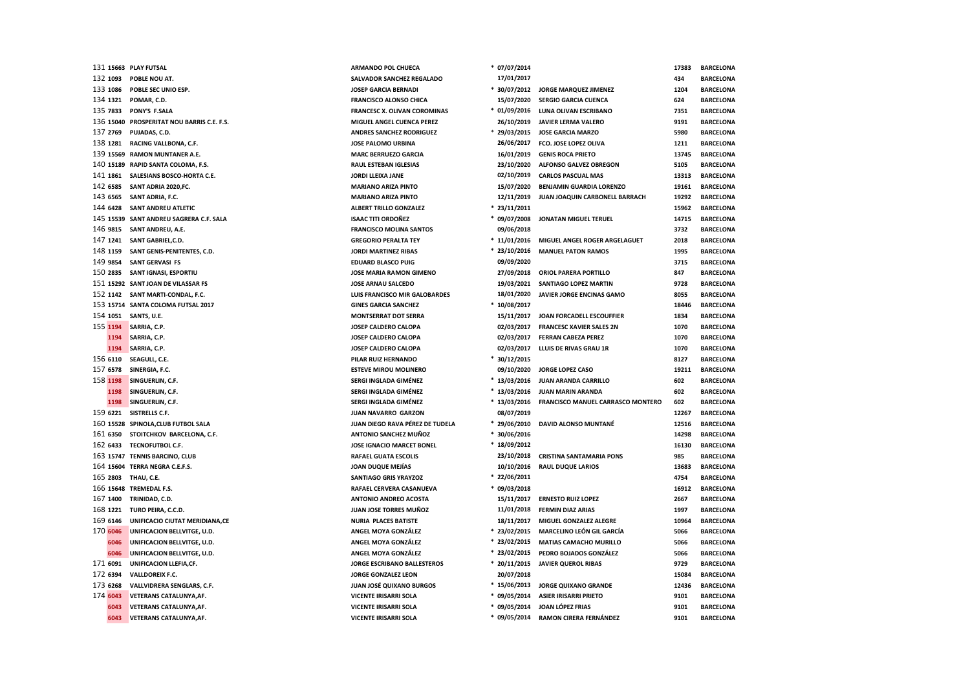|           | 131 15663 PLAY FUTSAL                      | <b>ARMANDO POL CHUECA</b>           | * 07/07/2014   |                                   | 17383 | <b>BARCELONA</b> |
|-----------|--------------------------------------------|-------------------------------------|----------------|-----------------------------------|-------|------------------|
| 132 1093  | POBLE NOU AT.                              | SALVADOR SANCHEZ REGALADO           | 17/01/2017     |                                   | 434   | <b>BARCELONA</b> |
| 133 1086  | POBLE SEC UNIO ESP.                        | <b>JOSEP GARCIA BERNADI</b>         | * 30/07/2012   | <b>JORGE MARQUEZ JIMENEZ</b>      | 1204  | <b>BARCELONA</b> |
| 134 1321  | POMAR, C.D.                                | <b>FRANCISCO ALONSO CHICA</b>       | 15/07/2020     | <b>SERGIO GARCIA CUENCA</b>       | 624   | <b>BARCELONA</b> |
| 135 7833  | PONY'S F.SALA                              | <b>FRANCESC X. OLIVAN COROMINAS</b> | $* 01/09/2016$ | LUNA OLIVAN ESCRIBANO             | 7351  | <b>BARCELONA</b> |
|           | 136 15040 PROSPERITAT NOU BARRIS C.E. F.S. | MIGUEL ANGEL CUENCA PEREZ           | 26/10/2019     | JAVIER LERMA VALERO               | 9191  | <b>BARCELONA</b> |
| 137 2769  | PUJADAS, C.D.                              | <b>ANDRES SANCHEZ RODRIGUEZ</b>     | $* 29/03/2015$ | <b>JOSE GARCIA MARZO</b>          | 5980  | <b>BARCELONA</b> |
| 138 1281  | RACING VALLBONA, C.F.                      | <b>JOSE PALOMO URBINA</b>           | 26/06/2017     | FCO. JOSE LOPEZ OLIVA             | 1211  | <b>BARCELONA</b> |
|           | 139 15569 RAMON MUNTANER A.E.              | <b>MARC BERRUEZO GARCIA</b>         | 16/01/2019     | <b>GENIS ROCA PRIETO</b>          | 13745 | <b>BARCELONA</b> |
| 140 15189 | RAPID SANTA COLOMA, F.S.                   | <b>RAUL ESTEBAN IGLESIAS</b>        | 23/10/2020     | ALFONSO GALVEZ OBREGON            | 5105  | <b>BARCELONA</b> |
| 141 1861  | SALESIANS BOSCO-HORTA C.E.                 | JORDI LLEIXA JANE                   | 02/10/2019     | <b>CARLOS PASCUAL MAS</b>         | 13313 | <b>BARCELONA</b> |
| 142 6585  | SANT ADRIA 2020, FC.                       | <b>MARIANO ARIZA PINTO</b>          | 15/07/2020     | BENJAMIN GUARDIA LORENZO          | 19161 | <b>BARCELONA</b> |
| 143 6565  | SANT ADRIA, F.C.                           | <b>MARIANO ARIZA PINTO</b>          | 12/11/2019     | JUAN JOAQUIN CARBONELL BARRACH    | 19292 | <b>BARCELONA</b> |
| 144 6428  | SANT ANDREU ATLETIC                        | ALBERT TRILLO GONZALEZ              | $* 23/11/2011$ |                                   | 15962 | <b>BARCELONA</b> |
|           | 145 15539 SANT ANDREU SAGRERA C.F. SALA    | <b>ISAAC TITI ORDOÑEZ</b>           | $* 09/07/2008$ | <b>JONATAN MIGUEL TERUEL</b>      | 14715 | <b>BARCELONA</b> |
| 146 9815  | SANT ANDREU, A.E.                          | <b>FRANCISCO MOLINA SANTOS</b>      | 09/06/2018     |                                   | 3732  | <b>BARCELONA</b> |
| 147 1241  | SANT GABRIEL, C.D.                         | <b>GREGORIO PERALTA TEY</b>         | $*11/01/2016$  | MIGUEL ANGEL ROGER ARGELAGUET     | 2018  | <b>BARCELONA</b> |
| 148 1159  | SANT GENIS-PENITENTES, C.D.                | <b>JORDI MARTINEZ RIBAS</b>         | $* 23/10/2016$ | <b>MANUEL PATON RAMOS</b>         | 1995  | <b>BARCELONA</b> |
| 149 9854  | <b>SANT GERVASI FS</b>                     | <b>EDUARD BLASCO PUIG</b>           | 09/09/2020     |                                   | 3715  | <b>BARCELONA</b> |
| 150 2835  | SANT IGNASI, ESPORTIU                      | JOSE MARIA RAMON GIMENO             | 27/09/2018     | <b>ORIOL PARERA PORTILLO</b>      | 847   | <b>BARCELONA</b> |
|           | 151 15292 SANT JOAN DE VILASSAR FS         | <b>JOSE ARNAU SALCEDO</b>           | 19/03/2021     | <b>SANTIAGO LOPEZ MARTIN</b>      | 9728  | <b>BARCELONA</b> |
|           | 152 1142 SANT MARTI-CONDAL, F.C.           | LUIS FRANCISCO MIR GALOBARDES       | 18/01/2020     | JAVIER JORGE ENCINAS GAMO         | 8055  | <b>BARCELONA</b> |
|           | 153 15714 SANTA COLOMA FUTSAL 2017         | <b>GINES GARCIA SANCHEZ</b>         | $*10/08/2017$  |                                   | 18446 | <b>BARCELONA</b> |
| 154 1051  | SANTS, U.E.                                | <b>MONTSERRAT DOT SERRA</b>         | 15/11/2017     | JOAN FORCADELL ESCOUFFIER         | 1834  | <b>BARCELONA</b> |
| 155 1194  | SARRIA, C.P.                               | JOSEP CALDERO CALOPA                | 02/03/2017     | <b>FRANCESC XAVIER SALES 2N</b>   | 1070  | <b>BARCELONA</b> |
| 1194      | SARRIA, C.P.                               | JOSEP CALDERO CALOPA                | 02/03/2017     | <b>FERRAN CABEZA PEREZ</b>        | 1070  | <b>BARCELONA</b> |
| 1194      | SARRIA, C.P.                               | JOSEP CALDERO CALOPA                | 02/03/2017     | LLUIS DE RIVAS GRAU 1R            | 1070  | <b>BARCELONA</b> |
| 156 6110  | SEAGULL, C.E.                              | PILAR RUIZ HERNANDO                 | $* 30/12/2015$ |                                   | 8127  | <b>BARCELONA</b> |
| 157 6578  | SINERGIA, F.C.                             | <b>ESTEVE MIROU MOLINERO</b>        | 09/10/2020     | JORGE LOPEZ CASO                  | 19211 | <b>BARCELONA</b> |
| 158 1198  | SINGUERLIN, C.F.                           | SERGI INGLADA GIMÉNEZ               | $*13/03/2016$  | JUAN ARANDA CARRILLO              | 602   | <b>BARCELONA</b> |
| 1198      | SINGUERLIN, C.F.                           | SERGI INGLADA GIMÉNEZ               | $*13/03/2016$  | <b>JUAN MARIN ARANDA</b>          | 602   | <b>BARCELONA</b> |
| 1198      | SINGUERLIN, C.F.                           | SERGI INGLADA GIMÉNEZ               | $*13/03/2016$  | FRANCISCO MANUEL CARRASCO MONTERO | 602   | <b>BARCELONA</b> |
| 159 6221  | SISTRELLS C.F.                             | JUAN NAVARRO GARZON                 | 08/07/2019     |                                   | 12267 | <b>BARCELONA</b> |
| 160 15528 | SPINOLA, CLUB FUTBOL SALA                  | JUAN DIEGO RAVA PÉREZ DE TUDELA     | * 29/06/2010   | <b>DAVID ALONSO MUNTANÉ</b>       | 12516 | <b>BARCELONA</b> |
| 161 6350  | STOITCHKOV BARCELONA, C.F.                 | ANTONIO SANCHEZ MUÑOZ               | $* 30/06/2016$ |                                   | 14298 | <b>BARCELONA</b> |
| 162 6433  | <b>TECNOFUTBOL C.F.</b>                    | JOSE IGNACIO MARCET BONEL           | * 18/09/2012   |                                   | 16130 | <b>BARCELONA</b> |
|           | 163 15747 TENNIS BARCINO, CLUB             | <b>RAFAEL GUATA ESCOLIS</b>         | 23/10/2018     | <b>CRISTINA SANTAMARIA PONS</b>   | 985   | <b>BARCELONA</b> |
|           | 164 15604 TERRA NEGRA C.E.F.S.             | JOAN DUQUE MEJÍAS                   | 10/10/2016     | <b>RAUL DUQUE LARIOS</b>          | 13683 | <b>BARCELONA</b> |
| 165 2803  | THAU, C.E.                                 | <b>SANTIAGO GRIS YRAYZOZ</b>        | $* 22/06/2011$ |                                   | 4754  | <b>BARCELONA</b> |
|           | 166 15648 TREMEDAL F.S.                    | RAFAEL CERVERA CASANUEVA            | $* 09/03/2018$ |                                   | 16912 | <b>BARCELONA</b> |
| 167 1400  | TRINIDAD, C.D.                             | <b>ANTONIO ANDREO ACOSTA</b>        | 15/11/2017     | <b>ERNESTO RUIZ LOPEZ</b>         | 2667  | <b>BARCELONA</b> |
| 168 1221  | TURO PEIRA, C.C.D.                         | JUAN JOSE TORRES MUÑOZ              | 11/01/2018     | <b>FERMIN DIAZ ARIAS</b>          | 1997  | <b>BARCELONA</b> |
| 169 6146  | UNIFICACIO CIUTAT MERIDIANA, CE            | <b>NURIA PLACES BATISTE</b>         | 18/11/2017     | MIGUEL GONZALEZ ALEGRE            | 10964 | <b>BARCELONA</b> |
| 170 6046  | UNIFICACION BELLVITGE, U.D.                | ANGEL MOYA GONZÁLEZ                 | $* 23/02/2015$ | <b>MARCELINO LEÓN GIL GARCÍA</b>  | 5066  | <b>BARCELONA</b> |
| 6046      | UNIFICACION BELLVITGE, U.D.                | ANGEL MOYA GONZÁLEZ                 | $* 23/02/2015$ | <b>MATIAS CAMACHO MURILLO</b>     | 5066  | <b>BARCELONA</b> |
| 6046      | UNIFICACION BELLVITGE, U.D.                | ANGEL MOYA GONZÁLEZ                 | $* 23/02/2015$ | PEDRO BOJADOS GONZÁLEZ            | 5066  | <b>BARCELONA</b> |
| 171 6091  | UNIFICACION LLEFIA,CF.                     | <b>JORGE ESCRIBANO BALLESTEROS</b>  | $* 20/11/2015$ | <b>JAVIER QUEROL RIBAS</b>        | 9729  | <b>BARCELONA</b> |
| 172 6394  | <b>VALLDOREIX F.C.</b>                     | <b>JORGE GONZALEZ LEON</b>          | 20/07/2018     |                                   | 15084 | <b>BARCELONA</b> |
| 173 6268  | VALLVIDRERA SENGLARS, C.F.                 | JUAN JOSÉ QUIXANO BURGOS            | $*15/06/2013$  | JORGE QUIXANO GRANDE              | 12436 | <b>BARCELONA</b> |
| 174 6043  | VETERANS CATALUNYA, AF.                    | VICENTE IRISARRI SOLA               | * 09/05/2014   | <b>ASIER IRISARRI PRIETO</b>      | 9101  | <b>BARCELONA</b> |
| 6043      | VETERANS CATALUNYA, AF.                    | <b>VICENTE IRISARRI SOLA</b>        | $* 09/05/2014$ | JOAN LÓPEZ FRIAS                  | 9101  | <b>BARCELONA</b> |
| 6043      | VETERANS CATALUNYA, AF.                    | <b>VICENTE IRISARRI SOLA</b>        | $* 09/05/2014$ | <b>RAMON CIRERA FERNÁNDEZ</b>     | 9101  | <b>BARCELONA</b> |